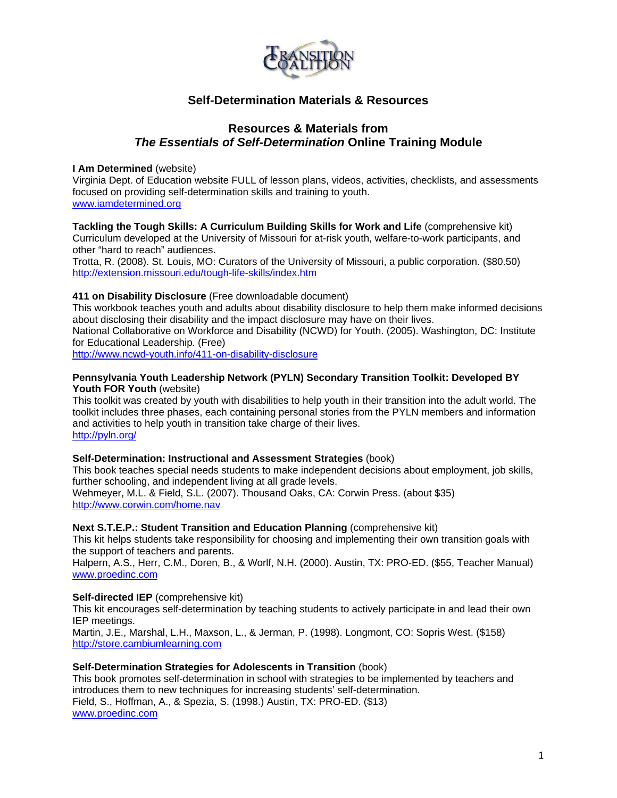

# **Self-Determination Materials & Resources**

# **Resources & Materials from**  *The Essentials of Self-Determination* **Online Training Module**

# **I Am Determined** (website)

Virginia Dept. of Education website FULL of lesson plans, videos, activities, checklists, and assessments focused on providing self-determination skills and training to youth. [www.iamdetermined.org](http://www.iamdetermined.org/)

**Tackling the Tough Skills: A Curriculum Building Skills for Work and Life** (comprehensive kit) Curriculum developed at the University of Missouri for at-risk youth, welfare-to-work participants, and other "hard to reach" audiences.

Trotta, R. (2008). St. Louis, MO: Curators of the University of Missouri, a public corporation. (\$80.50) <http://extension.missouri.edu/tough-life-skills/index.htm>

#### **411 on Disability Disclosure** (Free downloadable document)

This workbook teaches youth and adults about disability disclosure to help them make informed decisions about disclosing their disability and the impact disclosure may have on their lives.

National Collaborative on Workforce and Disability (NCWD) for Youth. (2005). Washington, DC: Institute for Educational Leadership. (Free)

<http://www.ncwd-youth.info/411-on-disability-disclosure>

#### **Pennsylvania Youth Leadership Network (PYLN) Secondary Transition Toolkit: Developed BY Youth FOR Youth** (website)

This toolkit was created by youth with disabilities to help youth in their transition into the adult world. The toolkit includes three phases, each containing personal stories from the PYLN members and information and activities to help youth in transition take charge of their lives. <http://pyln.org/>

# **Self-Determination: Instructional and Assessment Strategies** (book)

This book teaches special needs students to make independent decisions about employment, job skills, further schooling, and independent living at all grade levels. Wehmeyer, M.L. & Field, S.L. (2007). Thousand Oaks, CA: Corwin Press. (about \$35)

<http://www.corwin.com/home.nav>

# **Next S.T.E.P.: Student Transition and Education Planning** (comprehensive kit)

This kit helps students take responsibility for choosing and implementing their own transition goals with the support of teachers and parents.

Halpern, A.S., Herr, C.M., Doren, B., & Worlf, N.H. (2000). Austin, TX: PRO-ED. (\$55, Teacher Manual) [www.proedinc.com](http://www.proedinc.com/)

#### **Self-directed IEP** (comprehensive kit)

This kit encourages self-determination by teaching students to actively participate in and lead their own IEP meetings.

Martin, J.E., Marshal, L.H., Maxson, L., & Jerman, P. (1998). Longmont, CO: Sopris West. (\$158) [http://store.cambiumlearning.com](http://store.cambiumlearning.com/)

#### **Self-Determination Strategies for Adolescents in Transition** (book)

This book promotes self-determination in school with strategies to be implemented by teachers and introduces them to new techniques for increasing students' self-determination. Field, S., Hoffman, A., & Spezia, S. (1998.) Austin, TX: PRO-ED. (\$13) [www.proedinc.com](http://www.proedinc.com/)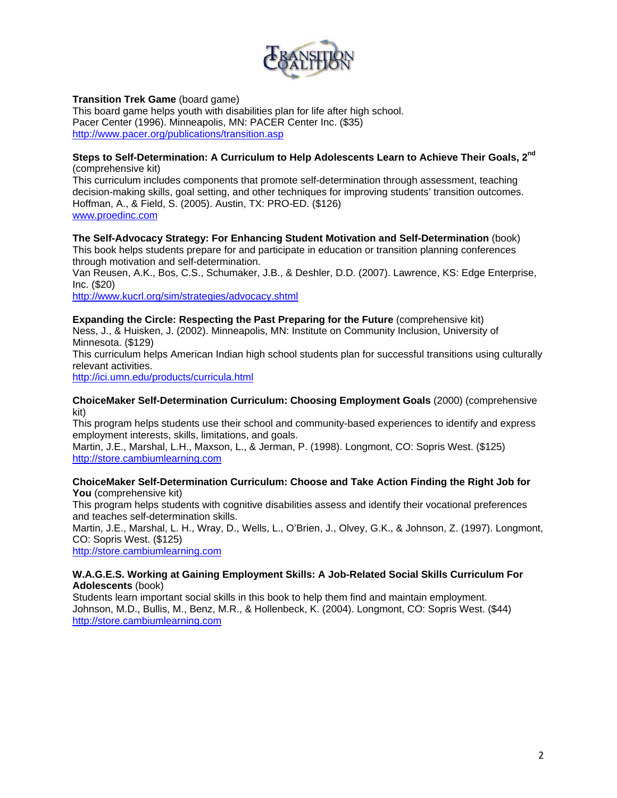

# **Transition Trek Game** (board game)

This board game helps youth with disabilities plan for life after high school. Pacer Center (1996). Minneapolis, MN: PACER Center Inc. (\$35) <http://www.pacer.org/publications/transition.asp>

### **Steps to Self-Determination: A Curriculum to Help Adolescents Learn to Achieve Their Goals, 2nd**  (comprehensive kit)

This curriculum includes components that promote self-determination through assessment, teaching decision-making skills, goal setting, and other techniques for improving students' transition outcomes. Hoffman, A., & Field, S. (2005). Austin, TX: PRO-ED. (\$126) [www.proedinc.com](http://www.proedinc.com/)

#### **The Self-Advocacy Strategy: For Enhancing Student Motivation and Self-Determination** (book) This book helps students prepare for and participate in education or transition planning conferences

through motivation and self-determination.

Van Reusen, A.K., Bos, C.S., Schumaker, J.B., & Deshler, D.D. (2007). Lawrence, KS: Edge Enterprise, Inc. (\$20)

<http://www.kucrl.org/sim/strategies/advocacy.shtml>

#### **Expanding the Circle: Respecting the Past Preparing for the Future** (comprehensive kit) Ness, J., & Huisken, J. (2002). Minneapolis, MN: Institute on Community Inclusion, University of Minnesota. (\$129)

This curriculum helps American Indian high school students plan for successful transitions using culturally relevant activities.

<http://ici.umn.edu/products/curricula.html>

#### **ChoiceMaker Self-Determination Curriculum: Choosing Employment Goals** (2000) (comprehensive kit)

This program helps students use their school and community-based experiences to identify and express employment interests, skills, limitations, and goals.

Martin, J.E., Marshal, L.H., Maxson, L., & Jerman, P. (1998). Longmont, CO: Sopris West. (\$125) [http://store.cambiumlearning.com](http://store.cambiumlearning.com/)

# **ChoiceMaker Self-Determination Curriculum: Choose and Take Action Finding the Right Job for You** (comprehensive kit)

This program helps students with cognitive disabilities assess and identify their vocational preferences and teaches self-determination skills.

Martin, J.E., Marshal, L. H., Wray, D., Wells, L., O'Brien, J., Olvey, G.K., & Johnson, Z. (1997). Longmont, CO: Sopris West. (\$125)

[http://store.cambiumlearning.com](http://store.cambiumlearning.com/)

# **W.A.G.E.S. Working at Gaining Employment Skills: A Job-Related Social Skills Curriculum For Adolescents** (book)

Students learn important social skills in this book to help them find and maintain employment. Johnson, M.D., Bullis, M., Benz, M.R., & Hollenbeck, K. (2004). Longmont, CO: Sopris West. (\$44) [http://store.cambiumlearning.com](http://store.cambiumlearning.com/)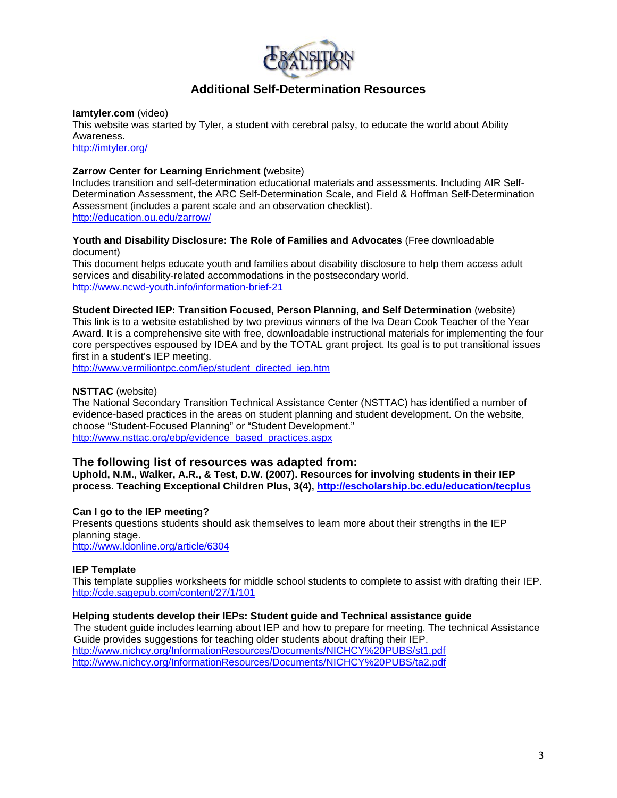

# **Additional Self-Determination Resources**

#### **Iamtyler.com** (video)

This website was started by Tyler, a student with cerebral palsy, to educate the world about Ability Awareness.

<http://imtyler.org/>

# **Zarrow Center for Learning Enrichment (**website)

Includes transition and self-determination educational materials and assessments. Including AIR Self-Determination Assessment, the ARC Self-Determination Scale, and Field & Hoffman Self-Determination Assessment (includes a parent scale and an observation checklist). <http://education.ou.edu/zarrow/>

### **Youth and Disability Disclosure: The Role of Families and Advocates** (Free downloadable document)

This document helps educate youth and families about disability disclosure to help them access adult services and disability-related accommodations in the postsecondary world. <http://www.ncwd-youth.info/information-brief-21>

# **Student Directed IEP: Transition Focused, Person Planning, and Self Determination** (website)

This link is to a website established by two previous winners of the Iva Dean Cook Teacher of the Year Award. It is a comprehensive site with free, downloadable instructional materials for implementing the four core perspectives espoused by IDEA and by the TOTAL grant project. Its goal is to put transitional issues first in a student's IEP meeting.

[http://www.vermiliontpc.com/iep/student\\_directed\\_iep.htm](http://www.vermiliontpc.com/iep/student_directed_iep.htm)

# **NSTTAC** (website)

The National Secondary Transition Technical Assistance Center (NSTTAC) has identified a number of evidence-based practices in the areas on student planning and student development. On the website, choose "Student-Focused Planning" or "Student Development." [http://www.nsttac.org/ebp/evidence\\_based\\_practices.aspx](http://www.nsttac.org/ebp/evidence_based_practices.aspx) 

# **The following list of resources was adapted from:**

**Uphold, N.M., Walker, A.R., & Test, D.W. (2007). Resources for involving students in their IEP process. Teaching Exceptional Children Plus, 3(4), <http://escholarship.bc.edu/education/tecplus>**

# **Can I go to the IEP meeting?**

Presents questions students should ask themselves to learn more about their strengths in the IEP planning stage.

<http://www.ldonline.org/article/6304>

# **IEP Template**

This template supplies worksheets for middle school students to complete to assist with drafting their IEP. <http://cde.sagepub.com/content/27/1/101>

# **Helping students develop their IEPs: Student guide and Technical assistance guide**

The student guide includes learning about IEP and how to prepare for meeting. The technical Assistance Guide provides suggestions for teaching older students about drafting their IEP. <http://www.nichcy.org/InformationResources/Documents/NICHCY%20PUBS/st1.pdf> <http://www.nichcy.org/InformationResources/Documents/NICHCY%20PUBS/ta2.pdf>